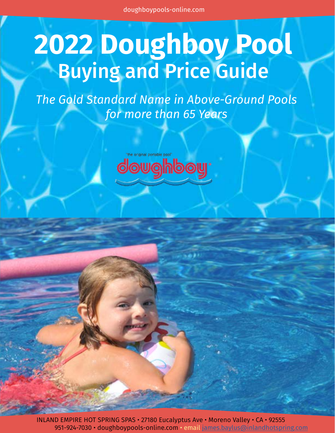# **2022 Doughboy Pool** Buying and Price Guide

*The Gold Standard Name in Above-Ground Pools for more than 65 Years*



INLAND EMPIRE HOT SPRING SPAS • 27180 Eucalyptus Ave • Moreno Valley • CA • 92555 951-924-7030 • doughboypools-online[.com](http://inlandhotspring.com) • email james.baylus@inlandhotspring.com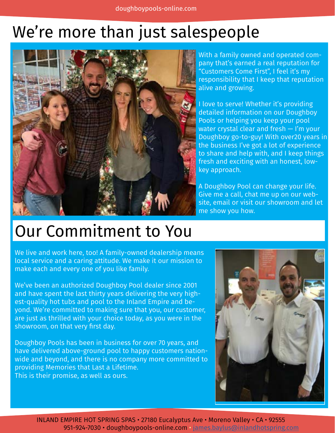# We're more than just salespeople



With a family owned and operated company that's earned a real reputation for "Customers Come First", I feel it's my responsibility that I keep that reputation alive and growing.

I love to serve! Whether it's providing detailed information on our Doughboy Pools or helping you keep your pool water crystal clear and fresh — I'm your Doughboy go-to-guy! With over20 years in the business I've got a lot of experience to share and help with, and I keep things fresh and exciting with an honest, lowkey approach.

A Doughboy Pool can change your life. Give me a call, chat me up on our website, email or visit our showroom and let me show you how.

## Our Commitment to You

We live and work here, too! A family-owned dealership means local service and a caring attitude. We make it our mission to make each and every one of you like family.

We've been an authorized Doughboy Pool dealer since 2001 and have spent the last thirty years delivering the very highest-quality hot tubs and pool to the Inland Empire and beyond. We're committed to making sure that you, our customer, are just as thrilled with your choice today, as you were in the showroom, on that very first day.

Doughboy Pools has been in business for over 70 years, and have delivered above-ground pool to happy customers nationwide and beyond, and there is no company more committed to providing Memories that Last a Lifetime. This is their promise, as well as ours.

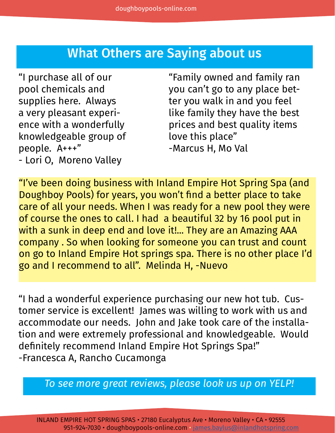### What Others are Saying about us

"I purchase all of our pool chemicals and supplies here. Always a very pleasant experience with a wonderfully knowledgeable group of people. A+++" - Lori O, Moreno Valley

"Family owned and family ran you can't go to any place better you walk in and you feel like family they have the best prices and best quality items love this place" -Marcus H, Mo Val

"I've been doing business with Inland Empire Hot Spring Spa (and Doughboy Pools) for years, you won't find a better place to take care of all your needs. When I was ready for a new pool they were of course the ones to call. I had a beautiful 32 by 16 pool put in with a sunk in deep end and love it!... They are an Amazing AAA company . So when looking for someone you can trust and count on go to Inland Empire Hot springs spa. There is no other place I'd go and I recommend to all". Melinda H, -Nuevo

"I had a wonderful experience purchasing our new hot tub. Customer service is excellent! James was willing to work with us and accommodate our needs. John and Jake took care of the installation and were extremely professional and knowledgeable. Would definitely recommend Inland Empire Hot Springs Spa!" -Francesca A, Rancho Cucamonga

*To see more great reviews, please look us up on YELP!*

INLAND EMPIRE HOT SPRING SPAS • 27180 Eucalyptus Ave • Moreno Valley • CA • 92555 951-924-7030 • doughboypools-onlin[e.com](http://inlandhotspring.com) • james.baylus@inlandhotspring.com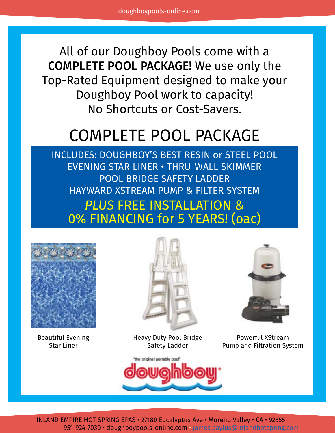All of our Doughboy Pools come with a COMPLETE POOL PACKAGE! We use only the Top-Rated Equipment designed to make your Doughboy Pool work to capacity! No Shortcuts or Cost-Savers.

# COMPLETE POOL PACKAGE

INCLUDES: DOUGHBOY'S BEST RESIN or STEEL POOL EVENING STAR LINER • THRU-WALL SKIMMER POOL BRIDGE SAFETY LADDER HAYWARD XSTREAM PUMP & FILTER SYSTEM *PLUS* FREE INSTALLATION & 0% FINANCING for 5 YEARS! (oac)



Beautiful Evening Star Liner



Heavy Duty Pool Bridge Safety Ladder



Powerful XStream Pump and Filtration System



INLAND EMPIRE HOT SPRING SPAS • 27180 Eucalyptus Ave • Moreno Valley • CA • 92555 951-924-7030 • doughboypools-onlin[e.com](http://inlandhotspring.com) • james.baylus@inlandhotspring.com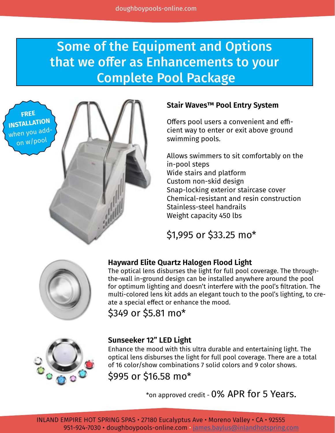### Some of the Equipment and Options that we offer as Enhancements to your Complete Pool Package

**FREE INSTALLATION** when you addon w/poo<sup>l</sup>



#### **Stair Waves™ Pool Entry System**

Offers pool users a convenient and efficient way to enter or exit above ground swimming pools.

Allows swimmers to sit comfortably on the in-pool steps Wide stairs and platform Custom non-skid design Snap-locking exterior staircase cover Chemical-resistant and resin construction Stainless-steel handrails Weight capacity 450 lbs

\$1,995 or \$33.25 mo\*



#### **Hayward Elite Quartz Halogen Flood Light**

The optical lens disburses the light for full pool coverage. The throughthe-wall in-ground design can be installed anywhere around the pool for optimum lighting and doesn't interfere with the pool's filtration. The multi-colored lens kit adds an elegant touch to the pool's lighting, to create a special effect or enhance the mood.

\$349 or \$5.81 mo\*



#### **Sunseeker 12" LED Light**

Enhance the mood with this ultra durable and entertaining light. The optical lens disburses the light for full pool coverage. There are a total of 16 color/show combinations 7 solid colors and 9 color shows.

\$995 or \$16.58 mo\*

\*on approved credit - 0% APR for 5 Years.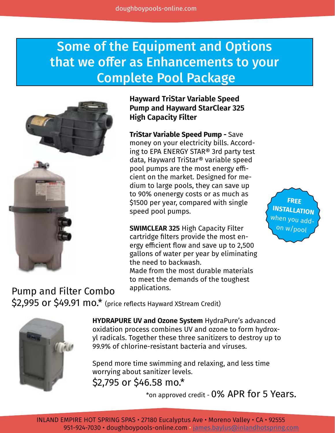### Some of the Equipment and Options that we offer as Enhancements to your Complete Pool Package



**Hayward TriStar Variable Speed Pump and Hayward StarClear 325 High Capacity Filter**

**TriStar Variable Speed Pump -** Save money on your electricity bills. According to EPA ENERGY STAR® 3rd party test data, Hayward TriStar® variable speed pool pumps are the most energy efficient on the market. Designed for medium to large pools, they can save up to 90% onenergy costs or as much as \$1500 per year, compared with single speed pool pumps.

**SWIMCLEAR 325** High Capacity Filter cartridge filters provide the most energy efficient flow and save up to 2,500 gallons of water per year by eliminating the need to backwash.

Made from the most durable materials to meet the demands of the toughest applications.

\$2.995 or \$49.91 mo.\* (price reflects Hayward XStream Credit) Pump and Filter Combo



**HYDRAPURE UV and Ozone System** HydraPure's advanced oxidation process combines UV and ozone to form hydroxyl radicals. Together these three sanitizers to destroy up to 99.9% of chlorine-resistant bacteria and viruses.

\$2,795 or \$46.58 mo.\* Spend more time swimming and relaxing, and less time worrying about sanitizer levels.

\*on approved credit - 0% APR for 5 Years.

**FREE INSTALLATION** when you addon w/pool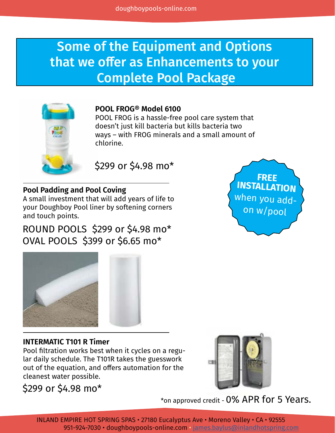### Some of the Equipment and Options that we offer as Enhancements to your Complete Pool Package



#### **POOL FROG® Model 6100**

POOL FROG is a hassle-free pool care system that doesn't just kill bacteria but kills bacteria two ways – with FROG minerals and a small amount of chlorine.

\$299 or \$4.98 mo\*

#### **Pool Padding and Pool Coving**

A small investment that will add years of life to your Doughboy Pool liner by softening corners and touch points.

ROUND POOLS \$299 or \$4.98 mo\* OVAL POOLS \$399 or \$6.65 mo\*





#### **INTERMATIC T101 R Timer**

Pool filtration works best when it cycles on a regular daily schedule. The T101R takes the guesswork out of the equation, and offers automation for the cleanest water possible.

\$299 or \$4.98 mo\*



\*on approved credit - 0% APR for 5 Years.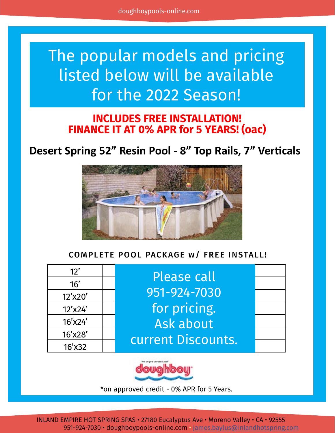# The popular models and pricing listed below will be available for the 2022 Season!

#### **INCLUDES FREE INSTALLATION! FINANCE IT AT 0% APR for 5 YEARS! (oac)**

### **Desert Spring 52" Resin Pool - 8" Top Rails, 7" Verticals**



#### COMPLETE POOL PACKAGE w/ FREE INSTALL!

| 12'       | <b>Please call</b> |  |
|-----------|--------------------|--|
| 16'       |                    |  |
| 12'x20'   | 951-924-7030       |  |
| 12'x24'   | for pricing.       |  |
| 16'x24'   | Ask about          |  |
| 16'x28'   | current Discounts. |  |
| $16'$ x32 |                    |  |



\*on approved credit - 0% APR for 5 Years.